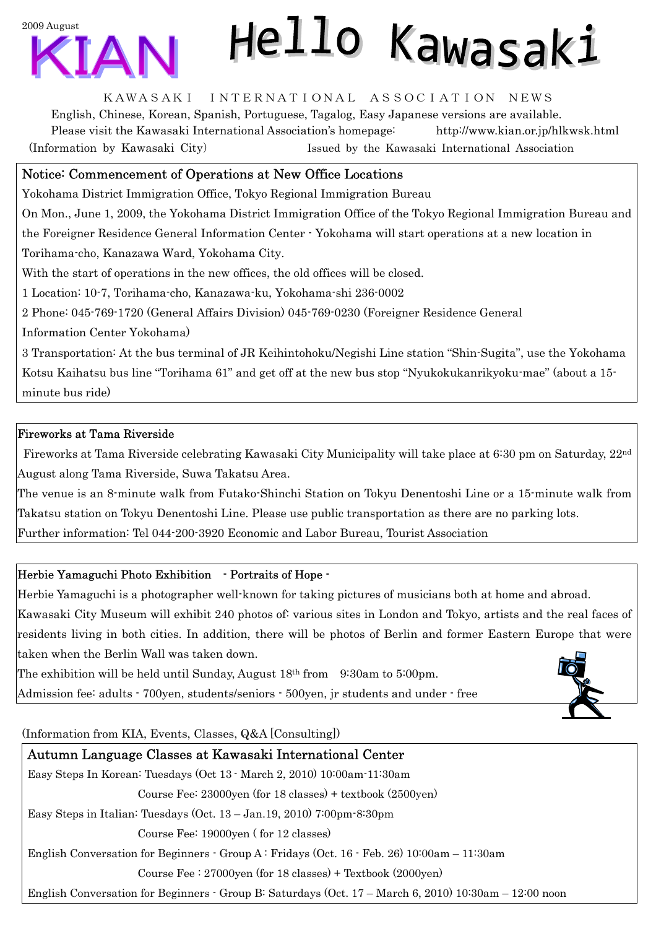

# Hello Kawasaki

#### KAWASAKI INTERNATIONAL ASSOCIATION NEWS

English, Chinese, Korean, Spanish, Portuguese, Tagalog, Easy Japanese versions are available. Please visit the Kawasaki International Association's homepage: http://www.kian.or.jp/hlkwsk.html (Information by Kawasaki City) Issued by the Kawasaki International Association

## Notice: Commencement of Operations at New Office Locations

Yokohama District Immigration Office, Tokyo Regional Immigration Bureau

On Mon., June 1, 2009, the Yokohama District Immigration Office of the Tokyo Regional Immigration Bureau and

the Foreigner Residence General Information Center - Yokohama will start operations at a new location in Torihama-cho, Kanazawa Ward, Yokohama City.

With the start of operations in the new offices, the old offices will be closed.

1 Location: 10-7, Torihama-cho, Kanazawa-ku, Yokohama-shi 236-0002

2 Phone: 045-769-1720 (General Affairs Division) 045-769-0230 (Foreigner Residence General

Information Center Yokohama)

3 Transportation: At the bus terminal of JR Keihintohoku/Negishi Line station "Shin-Sugita", use the Yokohama Kotsu Kaihatsu bus line "Torihama 61" and get off at the new bus stop "Nyukokukanrikyoku-mae" (about a 15 minute bus ride)

## Fireworks at Tama Riverside

 Fireworks at Tama Riverside celebrating Kawasaki City Municipality will take place at 6:30 pm on Saturday, 22nd August along Tama Riverside, Suwa Takatsu Area.

The venue is an 8-minute walk from Futako-Shinchi Station on Tokyu Denentoshi Line or a 15-minute walk from Takatsu station on Tokyu Denentoshi Line. Please use public transportation as there are no parking lots.

Further information: Tel 044-200-3920 Economic and Labor Bureau, Tourist Association

## Herbie Yamaguchi Photo Exhibition - Portraits of Hope -

Herbie Yamaguchi is a photographer well-known for taking pictures of musicians both at home and abroad. Kawasaki City Museum will exhibit 240 photos of: various sites in London and Tokyo, artists and the real faces of residents living in both cities. In addition, there will be photos of Berlin and former Eastern Europe that were taken when the Berlin Wall was taken down.

The exhibition will be held until Sunday, August 18th from 9:30am to 5:00pm. Admission fee: adults - 700yen, students/seniors - 500yen, jr students and under - free



(Information from KIA, Events, Classes, Q&A [Consulting])

# Autumn Language Classes at Kawasaki International Center

Easy Steps In Korean: Tuesdays (Oct 13 - March 2, 2010) 10:00am-11:30am Course Fee: 23000yen (for 18 classes) + textbook (2500yen) Easy Steps in Italian: Tuesdays (Oct. 13 – Jan.19, 2010) 7:00pm-8:30pm Course Fee: 19000yen ( for 12 classes)

English Conversation for Beginners - Group A : Fridays (Oct. 16 - Feb. 26) 10:00am – 11:30am

Course Fee : 27000yen (for 18 classes) + Textbook (2000yen)

English Conversation for Beginners - Group B: Saturdays (Oct. 17 – March 6, 2010) 10:30am – 12:00 noon